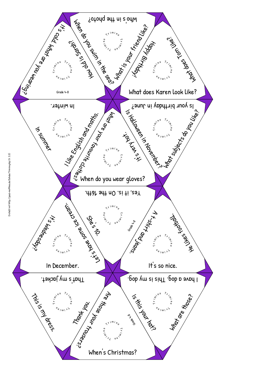